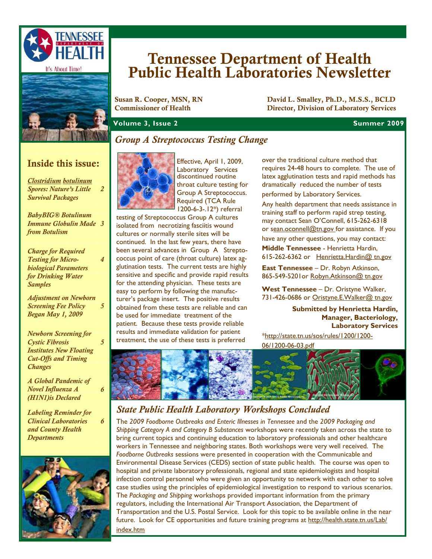



# Tennessee Department of Health Public Health Laboratories Newsletter

Susan R. Cooper, MSN, RN<br>
Commissioner of Health **David L. Smalley, Ph.D., M.S.S., BCLD**<br>
Director. Division of Laboratory Services Director, Division of Laboratory Services

**Volume 3, Issue 2** Summer 2009 **Summer 2009** 

## *Group A Streptococcus Testing Change*

## Inside this issue:

*Clostridium botulinum Spores: Nature's Little Survival Packages 2* 

*BabyBIG® Botulinum Immune Globulin Made 3 from Botulism* 

*Charge for Required Testing for Microbiological Parameters for Drinking Water Samples* 

*4* 

*5* 

*5* 

*6* 

*6* 

*Adjustment on Newborn Screening Fee Policy Began May 1, 2009* 

*Newborn Screening for Cystic Fibrosis Institutes New Floating Cut-Offs and Timing Changes* 

*A Global Pandemic of Novel Influenza A (H1N1)is Declared* 

*Labeling Reminder for Clinical Laboratories and County Health Departments* 



Effective, April 1, 2009,

Laboratory Services discontinued routine throat culture testing for Group A Streptococcus. Required (TCA Rule 1200-6-3-.12\*) referral

testing of Streptococcus Group A cultures isolated from necrotizing fasciitis wound cultures or normally sterile sites will be continued. In the last few years, there have been several advances in Group A Streptococcus point of care (throat culture) latex agglutination tests. The current tests are highly sensitive and specific and provide rapid results for the attending physician. These tests are easy to perform by following the manufacturer's package insert. The positive results obtained from these tests are reliable and can be used for immediate treatment of the patient. Because these tests provide reliable results and immediate validation for patient treatment, the use of these tests is preferred

over the traditional culture method that requires 24-48 hours to complete. The use of latex agglutination tests and rapid methods has dramatically reduced the number of tests performed by Laboratory Services.

Any health department that needs assistance in training staff to perform rapid strep testing, may contact Sean O'Connell, 615-262-6318 or sean.oconnell@tn.gov for assistance. If you have any other questions, you may contact:

**Middle Tennessee** - Henrietta Hardin, 615-262-6362 or Henrietta.Hardin@ tn.gov

**East Tennessee** – Dr. Robyn Atkinson, 865-549-5201 or Robyn. Atkinson@ tn.gov

**West Tennessee** – Dr. Oristyne Walker, 731-426-0686 or Oristyne.E. Walker@ tn.gov

> **Submitted by Henrietta Hardin, Manager, Bacteriology, Laboratory Services**

\*http://state.tn.us/sos/rules/1200/1200- 06/1200-06-03.pdf



## *State Public Health Laboratory Workshops Concluded*

The *2009 Foodborne Outbreaks and Enteric Illnesses in Tennessee* and the *2009 Packaging and Shipping Category A and Category B Substances* workshops were recently taken across the state to bring current topics and continuing education to laboratory professionals and other healthcare workers in Tennessee and neighboring states. Both workshops were very well received. The *Foodborne Outbreaks* sessions were presented in cooperation with the Communicable and Environmental Disease Services (CEDS) section of state public health. The course was open to hospital and private laboratory professionals, regional and state epidemiologists and hospital infection control personnel who were given an opportunity to network with each other to solve case studies using the principles of epidemiological investigation to respond to various scenarios. The *Packaging and Shipping* workshops provided important information from the primary regulators, including the International Air Transport Association, the Department of Transportation and the U.S. Postal Service. Look for this topic to be available online in the near future. Look for CE opportunities and future training programs at http://health.state.tn.us/Lab/ index.htm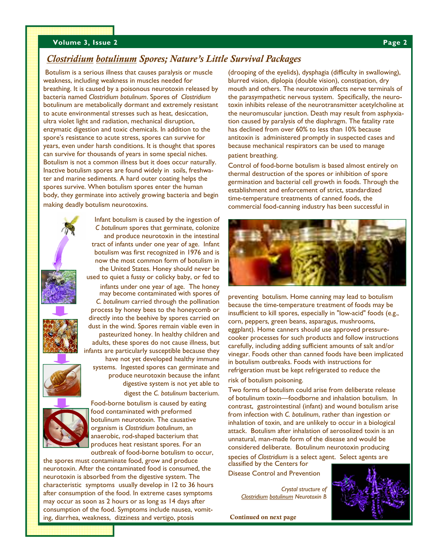### **Volume 3, Issue 2** Page 2 **Page 2**

## *Clostridium botulinum Spores; Nature's Little Survival Packages*

Botulism is a serious illness that causes paralysis or muscle weakness, including weakness in muscles needed for breathing. It is caused by a poisonous neurotoxin released by bacteria named *Clostridium botulinum*. Spores of *Clostridium*  botulinum are metabolically dormant and extremely resistant to acute environmental stresses such as heat, desiccation, ultra violet light and radiation, mechanical disruption, enzymatic digestion and toxic chemicals. In addition to the spore's resistance to acute stress, spores can survive for years, even under harsh conditions. It is thought that spores can survive for thousands of years in some special niches. Botulism is not a common illness but it does occur naturally. Inactive botulism spores are found widely in soils, freshwater and marine sediments. A hard outer coating helps the spores survive. When botulism spores enter the human body, they germinate into actively growing bacteria and begin making deadly botulism neurotoxins.

> Infant botulism is caused by the ingestion of *C botulinum* spores that germinate, colonize and produce neurotoxin in the intestinal tract of infants under one year of age. Infant botulism was first recognized in 1976 and is now the most common form of botulism in the United States. Honey should never be used to quiet a fussy or colicky baby, or fed to



infants under one year of age. The honey may become contaminated with spores of *C. botulinum* carried through the pollination process by honey bees to the honeycomb or directly into the beehive by spores carried on dust in the wind. Spores remain viable even in pasteurized honey. In healthy children and adults, these spores do not cause illness, but infants are particularly susceptible because they

have not yet developed healthy immune systems. Ingested spores can germinate and produce neurotoxin because the infant digestive system is not yet able to digest the *C. botulinum* bacterium.



Food-borne botulism is caused by eating food contaminated with preformed botulinum neurotoxin. The causative organism is *Clostridium botulinum*, an anaerobic, rod-shaped bacterium that produces heat resistant spores. For an outbreak of food-borne botulism to occur,

the spores must contaminate food, grow and produce neurotoxin. After the contaminated food is consumed, the neurotoxin is absorbed from the digestive system. The characteristic symptoms usually develop in 12 to 36 hours after consumption of the food. In extreme cases symptoms may occur as soon as 2 hours or as long as 14 days after consumption of the food. Symptoms include nausea, vomiting, diarrhea, weakness, dizziness and vertigo, ptosis

(drooping of the eyelids), dysphagia (difficulty in swallowing), blurred vision, diplopia (double vision), constipation, dry mouth and others. The neurotoxin affects nerve terminals of the parasympathetic nervous system. Specifically, the neurotoxin inhibits release of the neurotransmitter acetylcholine at the neuromuscular junction. Death may result from asphyxiation caused by paralysis of the diaphragm. The fatality rate has declined from over 60% to less than 10% because antitoxin is administered promptly in suspected cases and because mechanical respirators can be used to manage patient breathing.

Control of food-borne botulism is based almost entirely on thermal destruction of the spores or inhibition of spore germination and bacterial cell growth in foods. Through the establishment and enforcement of strict, standardized time-temperature treatments of canned foods, the commercial food-canning industry has been successful in



preventing botulism. Home canning may lead to botulism because the time-temperature treatment of foods may be insufficient to kill spores, especially in "low-acid" foods (e.g., corn, peppers, green beans, asparagus, mushrooms, eggplant). Home canners should use approved pressurecooker processes for such products and follow instructions carefully, including adding sufficient amounts of salt and/or vinegar. Foods other than canned foods have been implicated in botulism outbreaks. Foods with instructions for refrigeration must be kept refrigerated to reduce the risk of botulism poisoning.

Two forms of botulism could arise from deliberate release of botulinum toxin—foodborne and inhalation botulism. In contrast, gastrointestinal (infant) and wound botulism arise from infection with *C. botulinum*, rather than ingestion or inhalation of toxin, and are unlikely to occur in a biological attack. Botulism after inhalation of aerosolized toxin is an unnatural, man-made form of the disease and would be considered deliberate. Botulinum neurotoxin producing

species of *Clostridium* is a select agent. Select agents are classified by the Centers for Disease Control and Prevention

*Crystal structure of Clostridium botulinum Neurotoxin B* 

Continued on next page

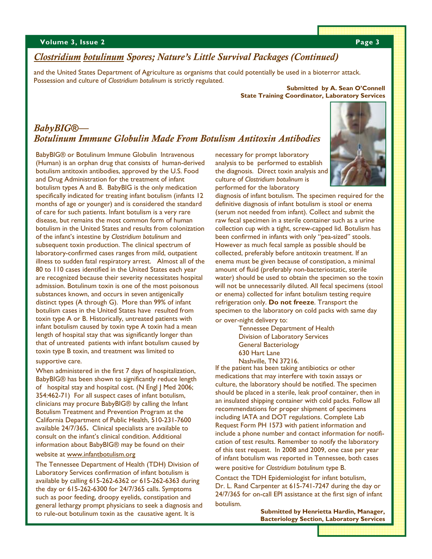## *Clostridium botulinum Spores; Nature's Little Survival Packages (Continued)*

and the United States Department of Agriculture as organisms that could potentially be used in a bioterror attack. Possession and culture of *Clostridium botulinum* is strictly regulated.

#### **Submitted by A. Sean O'Connell State Training Coordinator, Laboratory Services**

## *BabyBIG***®***— Botulinum Immune Globulin Made From Botulism Antitoxin Antibodies*

BabyBIG® or Botulinum Immune Globulin Intravenous (Human) is an orphan drug that consists of human-derived botulism antitoxin antibodies, approved by the U.S. Food and Drug Administration for the treatment of infant botulism types A and B. BabyBIG is the only medication specifically indicated for treating infant botulism (infants 12 months of age or younger) and is considered the standard of care for such patients. Infant botulism is a very rare disease, but remains the most common form of human botulism in the United States and results from colonization of the infant's intestine by *Clostridium botulinum* and subsequent toxin production. The clinical spectrum of laboratory-confirmed cases ranges from mild, outpatient illness to sudden fatal respiratory arrest. Almost all of the 80 to 110 cases identified in the United States each year are recognized because their severity necessitates hospital admission. Botulinum toxin is one of the most poisonous substances known, and occurs in seven antigenically distinct types (A through G). More than 99% of infant botulism cases in the United States have resulted from toxin type A or B. Historically, untreated patients with infant botulism caused by toxin type A toxin had a mean length of hospital stay that was significantly longer than that of untreated patients with infant botulism caused by toxin type B toxin, and treatment was limited to supportive care.

When administered in the first 7 days of hospitalization, BabyBIG® has been shown to significantly reduce length of hospital stay and hospital cost. (N Engl J Med 2006; 354:462-71) For all suspect cases of infant botulism, clinicians may procure BabyBIG® by calling the Infant Botulism Treatment and Prevention Program at the California Department of Public Health, 510-231-7600 available 24/7/365**.** Clinical specialists are available to consult on the infant's clinical condition. Additional information about BabyBIG® may be found on their

#### website at www.infantbotulism.org

The Tennessee Department of Health (TDH) Division of Laboratory Services confirmation of infant botulism is available by calling 615-262-6362 or 615-262-6363 during the day or 615-262-6300 for 24/7/365 calls. Symptoms such as poor feeding, droopy eyelids, constipation and general lethargy prompt physicians to seek a diagnosis and to rule-out botulinum toxin as the causative agent. It is

necessary for prompt laboratory analysis to be performed to establish the diagnosis. Direct toxin analysis and culture of *Clostridium botulinum* is performed for the laboratory



diagnosis of infant botulism. The specimen required for the definitive diagnosis of infant botulism is stool or enema (serum not needed from infant). Collect and submit the raw fecal specimen in a sterile container such as a urine collection cup with a tight, screw-capped lid. Botulism has been confirmed in infants with only "pea-sized" stools. However as much fecal sample as possible should be collected, preferably before antitoxin treatment. If an enema must be given because of constipation, a minimal amount of fluid (preferably non-bacteriostatic, sterile water) should be used to obtain the specimen so the toxin will not be unnecessarily diluted. All fecal specimens (stool or enema) collected for infant botulism testing require refrigeration only. **Do not freeze**. Transport the specimen to the laboratory on cold packs with same day or over-night delivery to:

> Tennessee Department of Health Division of Laboratory Services General Bacteriology 630 Hart Lane Nashville, TN 37216.

If the patient has been taking antibiotics or other medications that may interfere with toxin assays or culture, the laboratory should be notified. The specimen should be placed in a sterile, leak proof container, then in an insulated shipping container with cold packs. Follow all recommendations for proper shipment of specimens including IATA and DOT regulations. Complete Lab Request Form PH 1573 with patient information and include a phone number and contact information for notification of test results. Remember to notify the laboratory of this test request. In 2008 and 2009, one case per year of infant botulism was reported in Tennessee, both cases were positive for *Clostridium botulinum* type B.

Contact the TDH Epidemiologist for infant botulism, Dr. L. Rand Carpenter at 615-741-7247 during the day or 24/7/365 for on-call EPI assistance at the first sign of infant botulism.

> **Submitted by Henrietta Hardin, Manager, Bacteriology Section, Laboratory Services**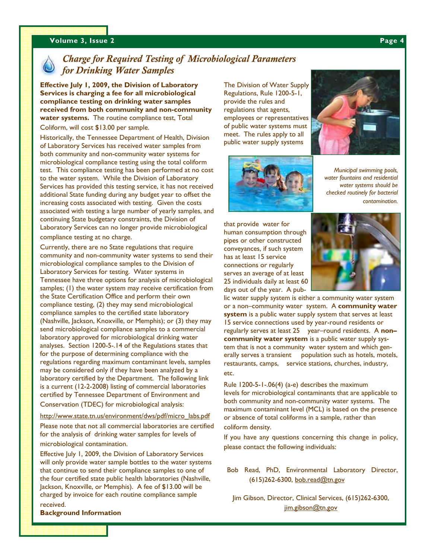#### **Volume 3, Issue 2 Page 4 Volume 3, Issue 2 Page 4**



## *Charge for Required Testing of Microbiological Parameters for Drinking Water Samples*

**Effective July 1, 2009, the Division of Laboratory Services is charging a fee for all microbiological compliance testing on drinking water samples received from both community and non-community water systems.** The routine compliance test, Total Coliform, will cost \$13.00 per sample.

Historically, the Tennessee Department of Health, Division of Laboratory Services has received water samples from both community and non-community water systems for microbiological compliance testing using the total coliform test. This compliance testing has been performed at no cost to the water system. While the Division of Laboratory Services has provided this testing service, it has not received additional State funding during any budget year to offset the increasing costs associated with testing. Given the costs associated with testing a large number of yearly samples, and continuing State budgetary constraints, the Division of Laboratory Services can no longer provide microbiological

compliance testing at no charge.

Currently, there are no State regulations that require community and non-community water systems to send their microbiological compliance samples to the Division of Laboratory Services for testing. Water systems in Tennessee have three options for analysis of microbiological samples; (1) the water system may receive certification from the State Certification Office and perform their own compliance testing, (2) they may send microbiological compliance samples to the certified state laboratory (Nashville, Jackson, Knoxville, or Memphis); or (3) they may send microbiological compliance samples to a commercial laboratory approved for microbiological drinking water analyses. Section 1200-5-.14 of the Regulations states that for the purpose of determining compliance with the regulations regarding maximum contaminant levels, samples may be considered only if they have been analyzed by a laboratory certified by the Department. The following link is a current (12-2-2008) listing of commercial laboratories certified by Tennessee Department of Environment and Conservation (TDEC) for microbiological analysis:

#### http://www.state.tn.us/environment/dws/pdf/micro labs.pdf

Please note that not all commercial laboratories are certified for the analysis of drinking water samples for levels of microbiological contamination.

Effective July 1, 2009, the Division of Laboratory Services will only provide water sample bottles to the water systems that continue to send their compliance samples to one of the four certified state public health laboratories (Nashville, Jackson, Knoxville, or Memphis). A fee of \$13.00 will be charged by invoice for each routine compliance sample

received. **Background Information** 

The Division of Water Supply Regulations, Rule 1200-5-1, provide the rules and regulations that agents, employees or representatives of public water systems must meet. The rules apply to all public water supply systems





*Municipal swimming pools, water fountains and residential water systems should be checked routinely for bacterial contamination.* 

that provide water for human consumption through pipes or other constructed conveyances, if such system has at least 15 service connections or regularly serves an average of at least 25 individuals daily at least 60 days out of the year. A pub-



lic water supply system is either a community water system or a non–community water system. A **community water system** is a public water supply system that serves at least 15 service connections used by year-round residents or regularly serves at least 25 year–round residents. A **non– community water system** is a public water supply system that is not a community water system and which generally serves a transient population such as hotels, motels, restaurants, camps, service stations, churches, industry, etc.

Rule 1200-5-1-.06(4) (a-e) describes the maximum levels for microbiological contaminants that are applicable to both community and non-community water systems. The maximum contaminant level (MCL) is based on the presence or absence of total coliforms in a sample, rather than coliform density.

If you have any questions concerning this change in policy, please contact the following individuals:

Bob Read, PhD, Environmental Laboratory Director, (615)262-6300, bob.read@tn.gov

Jim Gibson, Director, Clinical Services, (615)262-6300, jim.gibson@tn.gov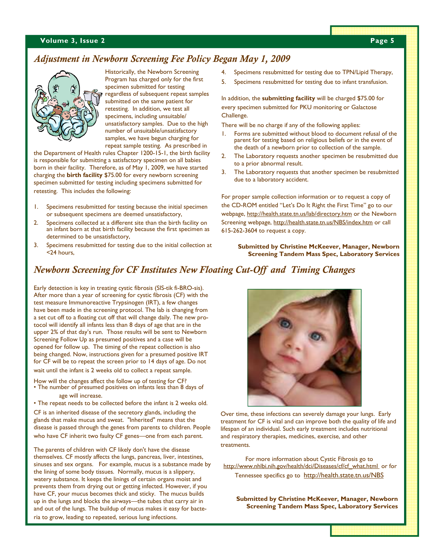#### **Volume 3, Issue 2** Page 5

## *Adjustment in Newborn Screening Fee Policy Began May 1, 2009*



Historically, the Newborn Screening Program has charged only for the first specimen submitted for testing regardless of subsequent repeat samples submitted on the same patient for retesting. In addition, we test all specimens, including unsuitable/ unsatisfactory samples. Due to the high number of unsuitable/unsatisfactory samples, we have begun charging for repeat sample testing. As prescribed in

the Department of Health rules Chapter 1200-15-1, the birth facility is responsible for submitting a satisfactory specimen on all babies born in their facility. Therefore, as of May 1, 2009, we have started charging the **birth facility** \$75.00 for every newborn screening specimen submitted for testing including specimens submitted for retesting. This includes the following:

- Specimens resubmitted for testing because the initial specimen or subsequent specimens are deemed unsatisfactory,
- 2. Specimens collected at a different site than the birth facility on an infant born at that birth facility because the first specimen as determined to be unsatisfactory,
- 3. Specimens resubmitted for testing due to the initial collection at <24 hours,
- 4. Specimens resubmitted for testing due to TPN/Lipid Therapy,
- 5. Specimens resubmitted for testing due to infant transfusion.

In addition, the **submitting facility** will be charged \$75.00 for every specimen submitted for PKU monitoring or Galactose Challenge.

There will be no charge if any of the following applies:

- 1. Forms are submitted without blood to document refusal of the parent for testing based on religious beliefs or in the event of the death of a newborn prior to collection of the sample.
- 2. The Laboratory requests another specimen be resubmitted due to a prior abnormal result.
- 3. The Laboratory requests that another specimen be resubmitted due to a laboratory accident.

For proper sample collection information or to request a copy of the CD-ROM entitled "Let's Do It Right the First Time" go to our webpage, http://health.state.tn.us/lab/directory.htm or the Newborn Screening webpage, http://health.state.tn.us/NBS/index.htm or call 615-262-3604 to request a copy.

**Submitted by Christine McKeever, Manager, Newborn Screening Tandem Mass Spec, Laboratory Services** 

## *Newborn Screening for CF Institutes New Floating Cut-Off and Timing Changes*

Early detection is key in treating cystic fibrosis (SIS-tik fi-BRO-sis). After more than a year of screening for cystic fibrosis (CF) with the test measure Immunoreactive Trypsinogen (IRT), a few changes have been made in the screening protocol. The lab is changing from a set cut off to a floating cut off that will change daily. The new protocol will identify all infants less than 8 days of age that are in the upper 2% of that day's run. Those results will be sent to Newborn Screening Follow Up as presumed positives and a case will be opened for follow up. The timing of the repeat collection is also being changed. Now, instructions given for a presumed positive IRT for CF will be to repeat the screen prior to 14 days of age. Do not wait until the infant is 2 weeks old to collect a repeat sample.

How will the changes affect the follow up of testing for CF? • The number of presumed positives on infants less than 8 days of age will increase.

• The repeat needs to be collected before the infant is 2 weeks old.

CF is an inherited disease of the secretory glands, including the glands that make mucus and sweat. "Inherited" means that the disease is passed through the genes from parents to children. People who have CF inherit two faulty CF genes—one from each parent.

The parents of children with CF likely don't have the disease themselves. CF mostly affects the lungs, pancreas, liver, intestines, sinuses and sex organs. For example, mucus is a substance made by the lining of some body tissues. Normally, mucus is a slippery, watery substance. It keeps the linings of certain organs moist and prevents them from drying out or getting infected. However, if you have CF, your mucus becomes thick and sticky. The mucus builds up in the lungs and blocks the airways—the tubes that carry air in and out of the lungs. The buildup of mucus makes it easy for bacteria to grow, leading to repeated, serious lung infections.



Over time, these infections can severely damage your lungs. Early treatment for CF is vital and can improve both the quality of life and lifespan of an individual. Such early treatment includes nutritional and respiratory therapies, medicines, exercise, and other treatments.

For more information about Cystic Fibrosis go to http://www.nhlbi.nih.gov/health/dci/Diseases/cf/cf\_what.html\_or for Tennessee specifics go to http://health.state.tn.us/NBS

**Submitted by Christine McKeever, Manager, Newborn Screening Tandem Mass Spec, Laboratory Services**